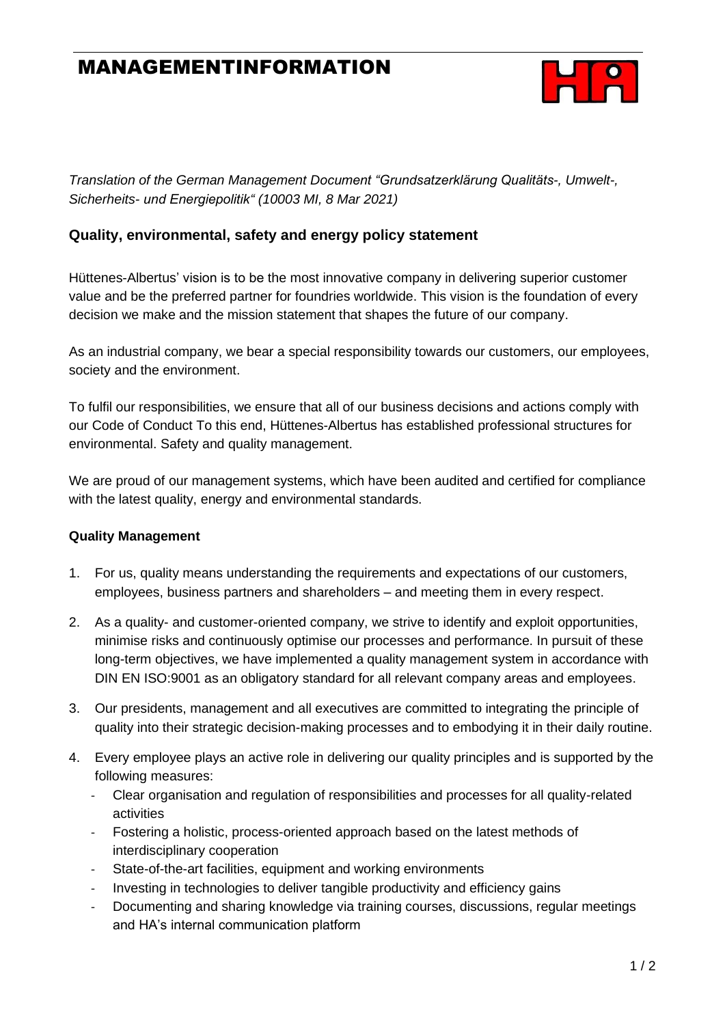# MANAGEMENTINFORMATION



*Translation of the German Management Document "Grundsatzerklärung Qualitäts-, Umwelt-, Sicherheits- und Energiepolitik" (10003 MI, 8 Mar 2021)*

### **Quality, environmental, safety and energy policy statement**

Hüttenes-Albertus' vision is to be the most innovative company in delivering superior customer value and be the preferred partner for foundries worldwide. This vision is the foundation of every decision we make and the mission statement that shapes the future of our company.

As an industrial company, we bear a special responsibility towards our customers, our employees, society and the environment.

To fulfil our responsibilities, we ensure that all of our business decisions and actions comply with our Code of Conduct To this end, Hüttenes-Albertus has established professional structures for environmental. Safety and quality management.

We are proud of our management systems, which have been audited and certified for compliance with the latest quality, energy and environmental standards.

### **Quality Management**

- 1. For us, quality means understanding the requirements and expectations of our customers, employees, business partners and shareholders – and meeting them in every respect.
- 2. As a quality- and customer-oriented company, we strive to identify and exploit opportunities, minimise risks and continuously optimise our processes and performance. In pursuit of these long-term objectives, we have implemented a quality management system in accordance with DIN EN ISO:9001 as an obligatory standard for all relevant company areas and employees.
- 3. Our presidents, management and all executives are committed to integrating the principle of quality into their strategic decision-making processes and to embodying it in their daily routine.
- 4. Every employee plays an active role in delivering our quality principles and is supported by the following measures:
	- Clear organisation and regulation of responsibilities and processes for all quality-related activities
	- Fostering a holistic, process-oriented approach based on the latest methods of interdisciplinary cooperation
	- State-of-the-art facilities, equipment and working environments
	- Investing in technologies to deliver tangible productivity and efficiency gains
	- Documenting and sharing knowledge via training courses, discussions, regular meetings and HA's internal communication platform